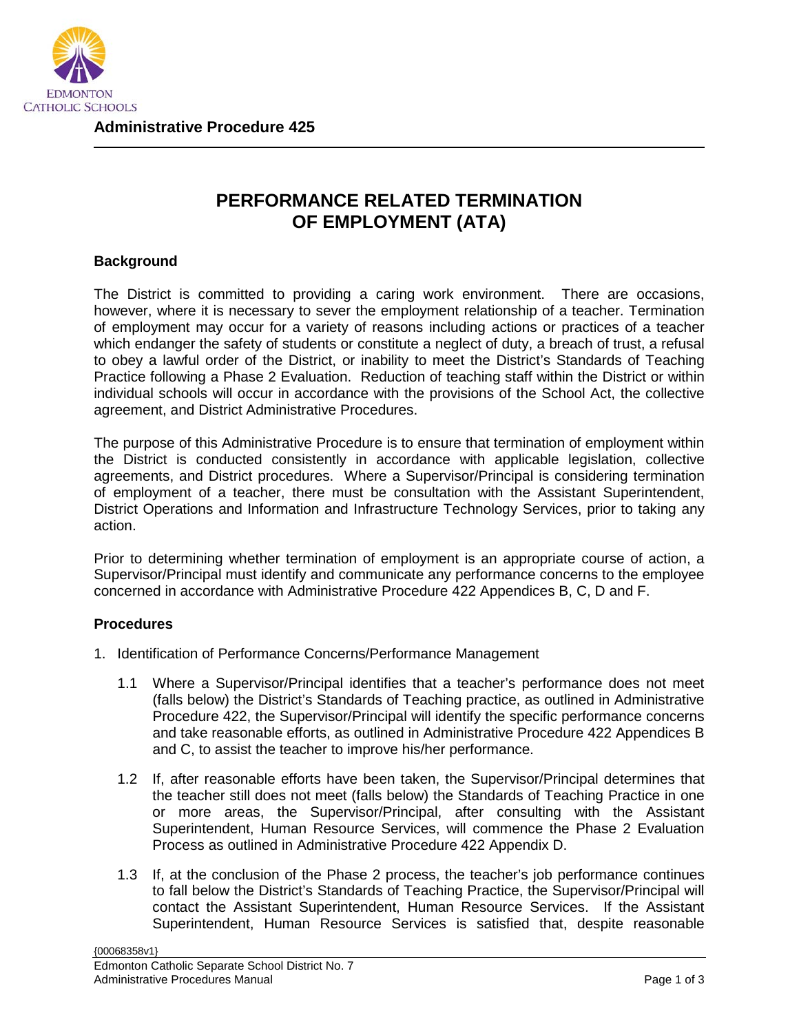

**Administrative Procedure 425**

## **PERFORMANCE RELATED TERMINATION OF EMPLOYMENT (ATA)**

## **Background**

The District is committed to providing a caring work environment. There are occasions, however, where it is necessary to sever the employment relationship of a teacher. Termination of employment may occur for a variety of reasons including actions or practices of a teacher which endanger the safety of students or constitute a neglect of duty, a breach of trust, a refusal to obey a lawful order of the District, or inability to meet the District's Standards of Teaching Practice following a Phase 2 Evaluation. Reduction of teaching staff within the District or within individual schools will occur in accordance with the provisions of the School Act, the collective agreement, and District Administrative Procedures.

The purpose of this Administrative Procedure is to ensure that termination of employment within the District is conducted consistently in accordance with applicable legislation, collective agreements, and District procedures. Where a Supervisor/Principal is considering termination of employment of a teacher, there must be consultation with the Assistant Superintendent, District Operations and Information and Infrastructure Technology Services, prior to taking any action.

Prior to determining whether termination of employment is an appropriate course of action, a Supervisor/Principal must identify and communicate any performance concerns to the employee concerned in accordance with Administrative Procedure 422 Appendices B, C, D and F.

## **Procedures**

- 1. Identification of Performance Concerns/Performance Management
	- 1.1 Where a Supervisor/Principal identifies that a teacher's performance does not meet (falls below) the District's Standards of Teaching practice, as outlined in Administrative Procedure 422, the Supervisor/Principal will identify the specific performance concerns and take reasonable efforts, as outlined in Administrative Procedure 422 Appendices B and C, to assist the teacher to improve his/her performance.
	- 1.2 If, after reasonable efforts have been taken, the Supervisor/Principal determines that the teacher still does not meet (falls below) the Standards of Teaching Practice in one or more areas, the Supervisor/Principal, after consulting with the Assistant Superintendent, Human Resource Services, will commence the Phase 2 Evaluation Process as outlined in Administrative Procedure 422 Appendix D.
	- 1.3 If, at the conclusion of the Phase 2 process, the teacher's job performance continues to fall below the District's Standards of Teaching Practice, the Supervisor/Principal will contact the Assistant Superintendent, Human Resource Services. If the Assistant Superintendent, Human Resource Services is satisfied that, despite reasonable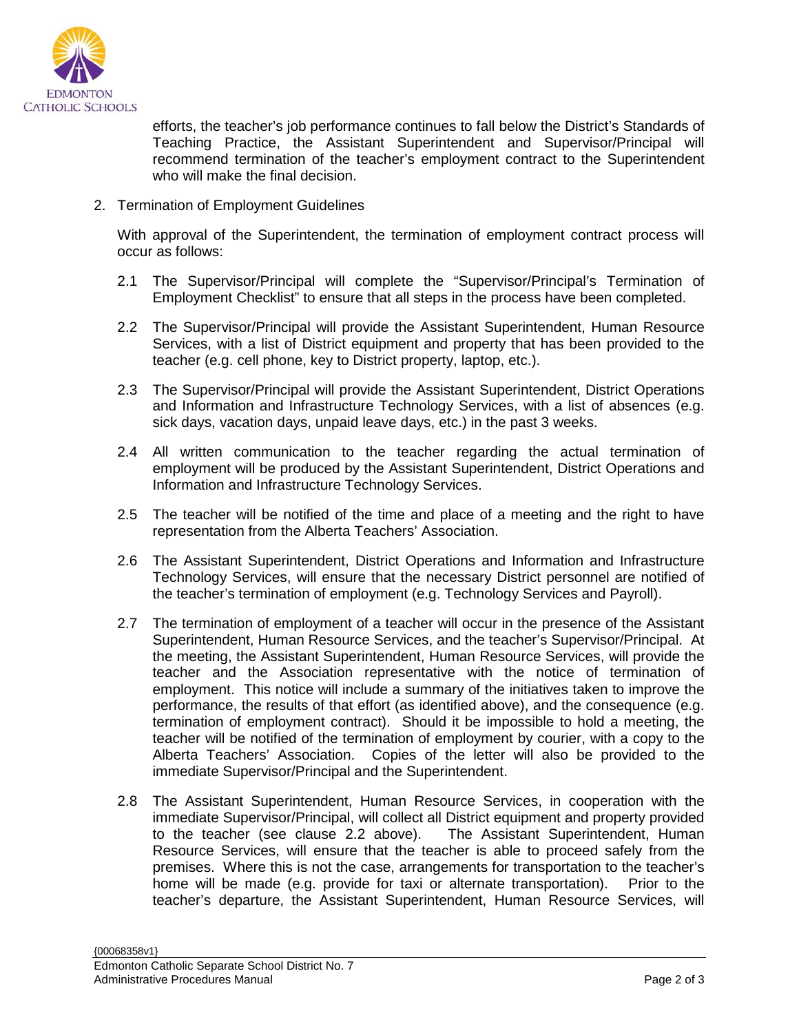

efforts, the teacher's job performance continues to fall below the District's Standards of Teaching Practice, the Assistant Superintendent and Supervisor/Principal will recommend termination of the teacher's employment contract to the Superintendent who will make the final decision.

2. Termination of Employment Guidelines

With approval of the Superintendent, the termination of employment contract process will occur as follows:

- 2.1 The Supervisor/Principal will complete the "Supervisor/Principal's Termination of Employment Checklist" to ensure that all steps in the process have been completed.
- 2.2 The Supervisor/Principal will provide the Assistant Superintendent, Human Resource Services, with a list of District equipment and property that has been provided to the teacher (e.g. cell phone, key to District property, laptop, etc.).
- 2.3 The Supervisor/Principal will provide the Assistant Superintendent, District Operations and Information and Infrastructure Technology Services, with a list of absences (e.g. sick days, vacation days, unpaid leave days, etc.) in the past 3 weeks.
- 2.4 All written communication to the teacher regarding the actual termination of employment will be produced by the Assistant Superintendent, District Operations and Information and Infrastructure Technology Services.
- 2.5 The teacher will be notified of the time and place of a meeting and the right to have representation from the Alberta Teachers' Association.
- 2.6 The Assistant Superintendent, District Operations and Information and Infrastructure Technology Services, will ensure that the necessary District personnel are notified of the teacher's termination of employment (e.g. Technology Services and Payroll).
- 2.7 The termination of employment of a teacher will occur in the presence of the Assistant Superintendent, Human Resource Services, and the teacher's Supervisor/Principal. At the meeting, the Assistant Superintendent, Human Resource Services, will provide the teacher and the Association representative with the notice of termination of employment. This notice will include a summary of the initiatives taken to improve the performance, the results of that effort (as identified above), and the consequence (e.g. termination of employment contract). Should it be impossible to hold a meeting, the teacher will be notified of the termination of employment by courier, with a copy to the Alberta Teachers' Association. Copies of the letter will also be provided to the immediate Supervisor/Principal and the Superintendent.
- 2.8 The Assistant Superintendent, Human Resource Services, in cooperation with the immediate Supervisor/Principal, will collect all District equipment and property provided to the teacher (see clause 2.2 above). The Assistant Superintendent, Human Resource Services, will ensure that the teacher is able to proceed safely from the premises. Where this is not the case, arrangements for transportation to the teacher's home will be made (e.g. provide for taxi or alternate transportation). Prior to the teacher's departure, the Assistant Superintendent, Human Resource Services, will

{00068358v1}